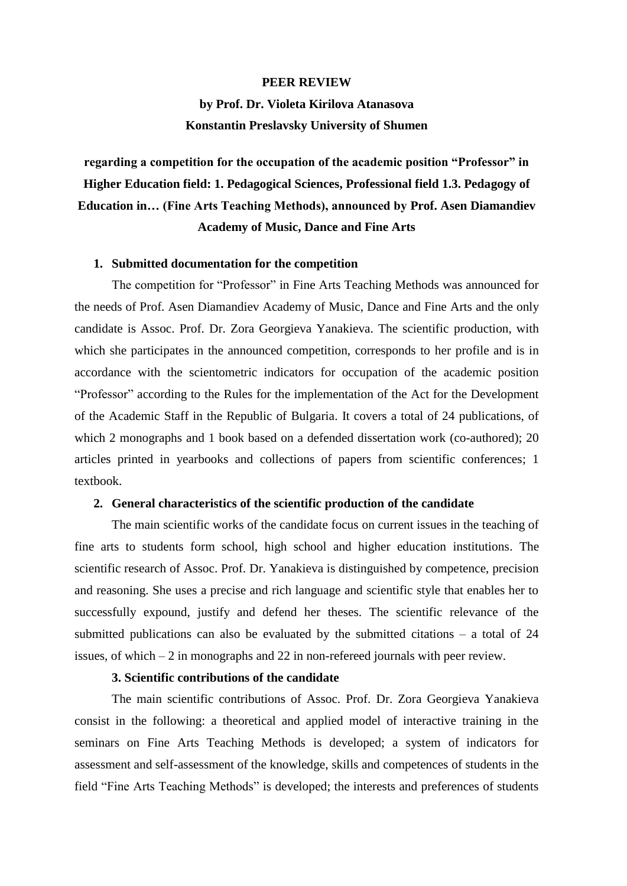#### **PEER REVIEW**

# **by Prof. Dr. Violeta Kirilova Atanasova Konstantin Preslavsky University of Shumen**

**regarding a competition for the occupation of the academic position "Professor" in Higher Education field: 1. Pedagogical Sciences, Professional field 1.3. Pedagogy of Education in… (Fine Arts Teaching Methods), announced by Prof. Asen Diamandiev Academy of Music, Dance and Fine Arts**

#### **1. Submitted documentation for the competition**

The competition for "Professor" in Fine Arts Teaching Methods was announced for the needs of Prof. Asen Diamandiev Academy of Music, Dance and Fine Arts and the only candidate is Assoc. Prof. Dr. Zora Georgieva Yanakieva. The scientific production, with which she participates in the announced competition, corresponds to her profile and is in accordance with the scientometric indicators for occupation of the academic position "Professor" according to the Rules for the implementation of the Act for the Development of the Academic Staff in the Republic of Bulgaria. It covers a total of 24 publications, of which 2 monographs and 1 book based on a defended dissertation work (co-authored); 20 articles printed in yearbooks and collections of papers from scientific conferences; 1 textbook.

### **2. General characteristics of the scientific production of the candidate**

The main scientific works of the candidate focus on current issues in the teaching of fine arts to students form school, high school and higher education institutions. The scientific research of Assoc. Prof. Dr. Yanakieva is distinguished by competence, precision and reasoning. She uses a precise and rich language and scientific style that enables her to successfully expound, justify and defend her theses. The scientific relevance of the submitted publications can also be evaluated by the submitted citations – a total of 24 issues, of which  $-2$  in monographs and 22 in non-refereed journals with peer review.

### **3. Scientific contributions of the candidate**

The main scientific contributions of Assoc. Prof. Dr. Zora Georgieva Yanakieva consist in the following: a theoretical and applied model of interactive training in the seminars on Fine Arts Teaching Methods is developed; a system of indicators for assessment and self-assessment of the knowledge, skills and competences of students in the field "Fine Arts Teaching Methods" is developed; the interests and preferences of students